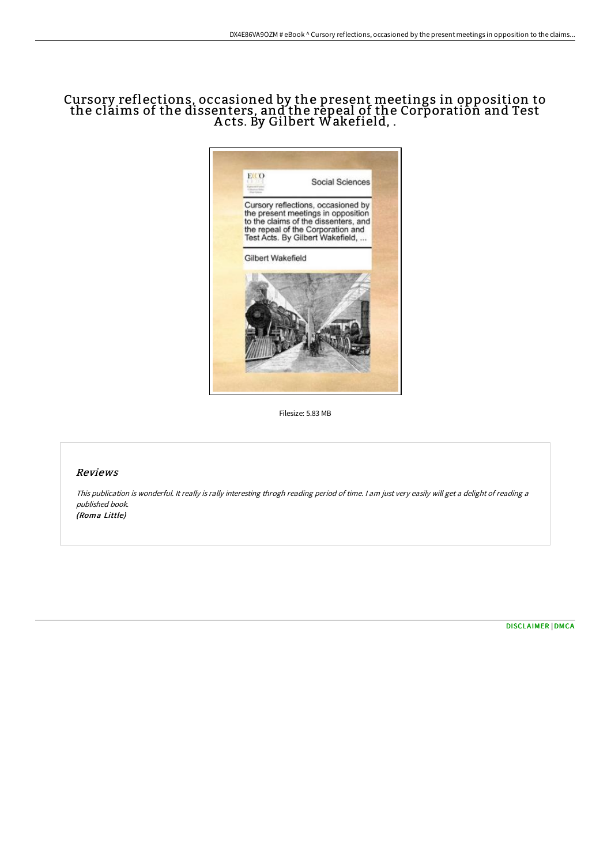# Cursory reflections, occasioned by the present meetings in opposition to the cláims of the dissenters, and the repeal of the Corporation and Test A cts. By Gilbert Wakefield, .



Filesize: 5.83 MB

# Reviews

This publication is wonderful. It really is rally interesting throgh reading period of time. <sup>I</sup> am just very easily will get <sup>a</sup> delight of reading <sup>a</sup> published book. (Roma Little)

[DISCLAIMER](http://techno-pub.tech/disclaimer.html) | [DMCA](http://techno-pub.tech/dmca.html)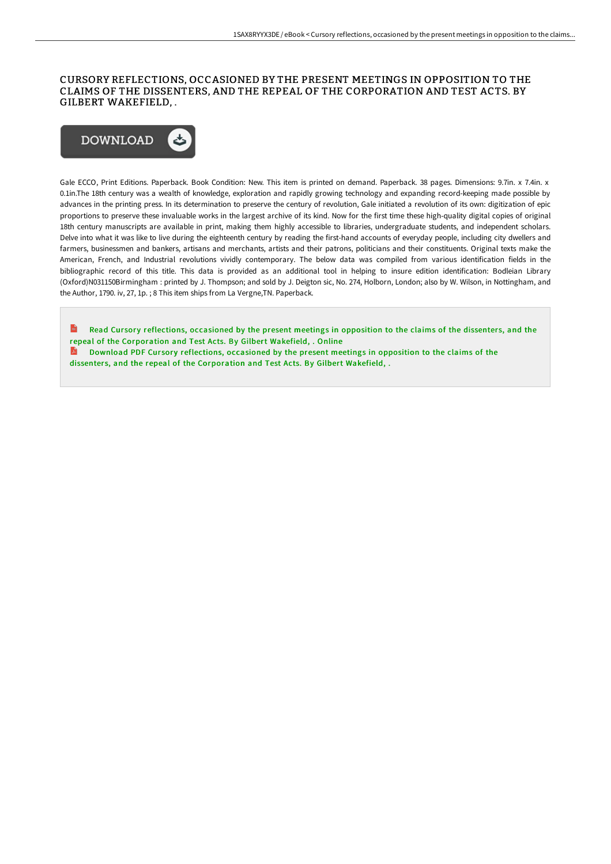## CURSORY REFLECTIONS, OCCASIONED BY THE PRESENT MEETINGS IN OPPOSITION TO THE CLAIMS OF THE DISSENTERS, AND THE REPEAL OF THE CORPORATION AND TEST ACTS. BY GILBERT WAKEFIELD, .



Gale ECCO, Print Editions. Paperback. Book Condition: New. This item is printed on demand. Paperback. 38 pages. Dimensions: 9.7in. x 7.4in. x 0.1in.The 18th century was a wealth of knowledge, exploration and rapidly growing technology and expanding record-keeping made possible by advances in the printing press. In its determination to preserve the century of revolution, Gale initiated a revolution of its own: digitization of epic proportions to preserve these invaluable works in the largest archive of its kind. Now for the first time these high-quality digital copies of original 18th century manuscripts are available in print, making them highly accessible to libraries, undergraduate students, and independent scholars. Delve into what it was like to live during the eighteenth century by reading the first-hand accounts of everyday people, including city dwellers and farmers, businessmen and bankers, artisans and merchants, artists and their patrons, politicians and their constituents. Original texts make the American, French, and Industrial revolutions vividly contemporary. The below data was compiled from various identification fields in the bibliographic record of this title. This data is provided as an additional tool in helping to insure edition identification: Bodleian Library (Oxford)N031150Birmingham : printed by J. Thompson; and sold by J. Deigton sic, No. 274, Holborn, London; also by W. Wilson, in Nottingham, and the Author, 1790. iv, 27, 1p. ; 8 This item ships from La Vergne,TN. Paperback.

 $\overline{\mathbf{R}}$ Read Cursory reflections, occasioned by the present meetings in opposition to the claims of the dissenters, and the repeal of the [Corporation](http://techno-pub.tech/cursory-reflections-occasioned-by-the-present-me.html) and Test Acts. By Gilbert Wakefield, . Online

**Download PDF Cursory reflections, occasioned by the present meetings in opposition to the claims of the** dissenters, and the repeal of the [Corporation](http://techno-pub.tech/cursory-reflections-occasioned-by-the-present-me.html) and Test Acts. By Gilbert Wakefield, .